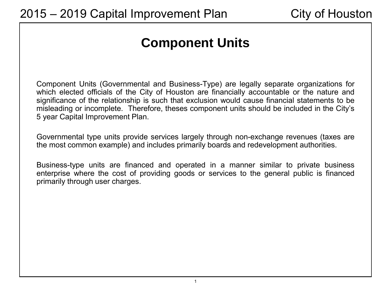# **Component Units**

Component Units (Governmental and Business-Type) are legally separate organizations for which elected officials of the City of Houston are financially accountable or the nature and significance of the relationship is such that exclusion would cause financial statements to be misleading or incomplete. Therefore, theses component units should be included in the City's 5 year Capital Improvement Plan.

Governmental type units provide services largely through non-exchange revenues (taxes are the most common example) and includes primarily boards and redevelopment authorities.

Business-type units are financed and operated in a manner similar to private business enterprise where the cost of providing goods or services to the general public is financed primarily through user charges.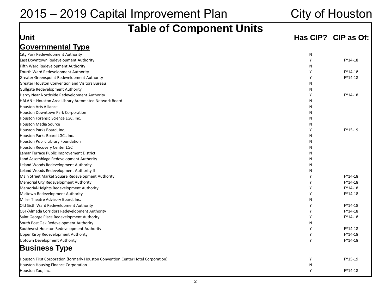| <b>Table of Component Units</b>                                                  |   |                     |  |  |  |  |  |  |  |  |
|----------------------------------------------------------------------------------|---|---------------------|--|--|--|--|--|--|--|--|
| Unit                                                                             |   | Has CIP? CIP as Of: |  |  |  |  |  |  |  |  |
|                                                                                  |   |                     |  |  |  |  |  |  |  |  |
| <b>Governmental Type</b>                                                         |   |                     |  |  |  |  |  |  |  |  |
| City Park Redevelopment Authority                                                | Ν |                     |  |  |  |  |  |  |  |  |
| <b>East Downtown Redevelopment Authority</b>                                     | Y | FY14-18             |  |  |  |  |  |  |  |  |
| Fifth Ward Redevelopment Authority                                               | N |                     |  |  |  |  |  |  |  |  |
| Fourth Ward Redevelopment Authority                                              | Y | FY14-18             |  |  |  |  |  |  |  |  |
| Greater Greenspoint Redevelopment Authority                                      | Y | FY14-18             |  |  |  |  |  |  |  |  |
| Greater Houston Convention and Visitors Bureau                                   | N |                     |  |  |  |  |  |  |  |  |
| Gulfgate Redevelopment Authority                                                 | N |                     |  |  |  |  |  |  |  |  |
| Hardy Near Northside Redevelopment Authority                                     | Y | FY14-18             |  |  |  |  |  |  |  |  |
| HALAN - Houston Area Library Automated Network Board                             | N |                     |  |  |  |  |  |  |  |  |
| <b>Houston Arts Alliance</b>                                                     | N |                     |  |  |  |  |  |  |  |  |
| Houston Downtown Park Corporation                                                | N |                     |  |  |  |  |  |  |  |  |
| Houston Forensic Science LGC, Inc.                                               | N |                     |  |  |  |  |  |  |  |  |
| Houston Media Source                                                             | N |                     |  |  |  |  |  |  |  |  |
| Houston Parks Board, Inc.                                                        | Y | FY15-19             |  |  |  |  |  |  |  |  |
| Houston Parks Board LGC., Inc.                                                   | N |                     |  |  |  |  |  |  |  |  |
| Houston Public Library Foundation                                                | N |                     |  |  |  |  |  |  |  |  |
| Houston Recovery Center LGC                                                      | N |                     |  |  |  |  |  |  |  |  |
| Lamar Terrace Public Improvement District                                        | N |                     |  |  |  |  |  |  |  |  |
| Land Assemblage Redevelopment Authority                                          | N |                     |  |  |  |  |  |  |  |  |
| Leland Woods Redevelopment Authority                                             | N |                     |  |  |  |  |  |  |  |  |
| Leland Woods Redevelopment Authority II                                          | N |                     |  |  |  |  |  |  |  |  |
| Main Street Market Square Redevelopment Authority                                | Y | FY14-18             |  |  |  |  |  |  |  |  |
| Memorial City Redevelopment Authority                                            | Y | FY14-18             |  |  |  |  |  |  |  |  |
| Memorial-Heights Redevelopment Authority                                         | Y | FY14-18             |  |  |  |  |  |  |  |  |
| Midtown Redevelopment Authority                                                  | Y | FY14-18             |  |  |  |  |  |  |  |  |
| Miller Theatre Advisory Board, Inc.                                              | N |                     |  |  |  |  |  |  |  |  |
| Old Sixth Ward Redevelopment Authority                                           | Y | FY14-18             |  |  |  |  |  |  |  |  |
| OST/Almeda Corridors Redevelopment Authority                                     | Y | FY14-18             |  |  |  |  |  |  |  |  |
| Saint George Place Redevelopment Authority                                       | Y | FY14-18             |  |  |  |  |  |  |  |  |
| South Post Oak Redevelopment Authority                                           | N |                     |  |  |  |  |  |  |  |  |
| Southwest Houston Redevelopment Authority                                        | Y | FY14-18             |  |  |  |  |  |  |  |  |
| Upper Kirby Redevelopment Authority                                              | Y | FY14-18             |  |  |  |  |  |  |  |  |
| Uptown Development Authority                                                     | Y | FY14-18             |  |  |  |  |  |  |  |  |
| <b>Business Type</b>                                                             |   |                     |  |  |  |  |  |  |  |  |
| Houston First Corporation (formerly Houston Convention Center Hotel Corporation) | Y | FY15-19             |  |  |  |  |  |  |  |  |
| Houston Housing Finance Corporation                                              | N |                     |  |  |  |  |  |  |  |  |
| Houston Zoo, Inc.                                                                | Y | FY14-18             |  |  |  |  |  |  |  |  |

## 2015 – 2019 Capital Improvement Plan City of Houston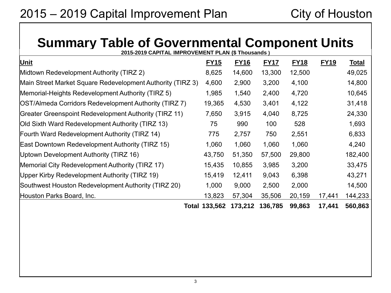# **Summary Table of Governmental Component Units**

**2015-2019 CAPITAL IMPROVEMENT PLAN (\$ Thousands ) Unit FY15 FY16 FY17 FY18 FY19 Total**  Midtown Redevelopment Authority (TIRZ 2) 8,625 14,600 13,300 12,500 49,025 Main Street Market Square Redevelopment Authority (TIRZ 3) 4,600 2,900 3,200 4,100 14,800 Memorial-Heights Redevelopment Authority (TIRZ 5)  $1,985$  1,540 2,400 4,720 10,645 OST/Almeda Corridors Redevelopment Authority (TIRZ 7) 19,365 4,530 3,401 4,122 31,418 Greater Greenspoint Redevelopment Authority (TIRZ 11) 7,650 3,915 4,040 8,725 24,330 Old Sixth Ward Redevelopment Authority (TIRZ 13) 75 990 100 528 1,693 Fourth Ward Redevelopment Authority (TIRZ 14) 775 2,757 750 2,551 6,833 East Downtown Redevelopment Authority (TIRZ 15) 1,060 1,060 1,060 1,060 4,240 Uptown Development Authority (TIRZ 16) 43,750 51,350 57,500 29,800 182,400 Memorial City Redevelopment Authority (TIRZ 17) 15,435 10,855 3,985 3,200 33,475 Upper Kirby Redevelopment Authority (TIRZ 19) 15,419 12,411 9,043 6,398 43,271 Southwest Houston Redevelopment Authority (TIRZ 20)  $1,000$  9,000 2,500 2,000 14,500 Houston Parks Board, Inc. 13,823 57,304 35,506 20,159 17,441 144,233 **Total 133,562 173,212 136,785 99,863 17,441 560,863**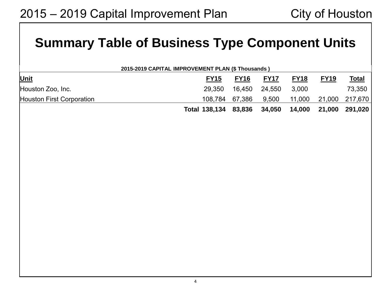# **Summary Table of Business Type Component Units**

| 2015-2019 CAPITAL IMPROVEMENT PLAN (\$ Thousands ) |  |
|----------------------------------------------------|--|
|                                                    |  |

| Unit                             | <b>FY15</b>                 | <b>FY16</b> | <b>FY17</b>   | <b>FY18</b> | <b>FY19</b> | <u>Total</u>                               |
|----------------------------------|-----------------------------|-------------|---------------|-------------|-------------|--------------------------------------------|
| Houston Zoo, Inc.                | 29.350                      |             | 16,450 24,550 | 3.000       |             | 73,350                                     |
| <b>Houston First Corporation</b> |                             |             |               |             |             | 108,784 67,386 9,500 11,000 21,000 217,670 |
|                                  | Total 138,134 83,836 34,050 |             |               | 14,000      |             | 21,000 291,020                             |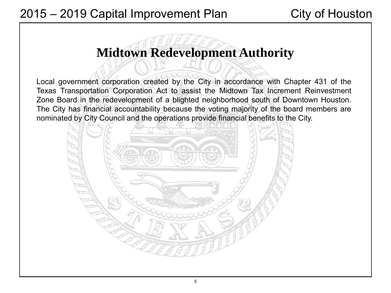# **Midtown Redevelopment Authority**

Local government corporation created by the City in accordance with Chapter 431 of the Texas Transportation Corporation Act to assist the Midtown Tax Increment Reinvestment Zone Board in the redevelopment of a blighted neighborhood south of Downtown Houston. The City has financial accountability because the voting majority of the board members are nominated by City Council and the operations provide financial benefits to the City.

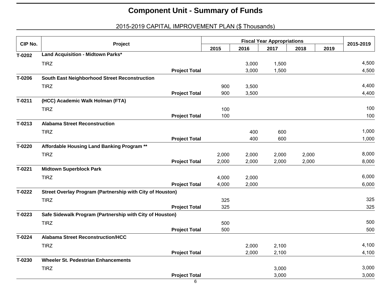| CIP No.  | Project                                                   |       |       | <b>Fiscal Year Appropriations</b> |       |      | 2015-2019 |
|----------|-----------------------------------------------------------|-------|-------|-----------------------------------|-------|------|-----------|
|          |                                                           | 2015  | 2016  | 2017                              | 2018  | 2019 |           |
| T-0202   | Land Acquisition - Midtown Parks*                         |       |       |                                   |       |      |           |
|          | <b>TIRZ</b>                                               |       | 3,000 | 1,500                             |       |      | 4,500     |
|          | <b>Project Total</b>                                      |       | 3,000 | 1,500                             |       |      | 4,500     |
| T-0206   | South East Neighborhood Street Reconstruction             |       |       |                                   |       |      |           |
|          | <b>TIRZ</b>                                               | 900   | 3,500 |                                   |       |      | 4,400     |
|          | <b>Project Total</b>                                      | 900   | 3,500 |                                   |       |      | 4,400     |
| $T-0211$ | (HCC) Academic Walk Holman (FTA)                          |       |       |                                   |       |      |           |
|          | <b>TIRZ</b>                                               | 100   |       |                                   |       |      | 100       |
|          | <b>Project Total</b>                                      | 100   |       |                                   |       |      | 100       |
| T-0213   | <b>Alabama Street Reconstruction</b>                      |       |       |                                   |       |      |           |
|          | <b>TIRZ</b>                                               |       | 400   | 600                               |       |      | 1,000     |
|          | <b>Project Total</b>                                      |       | 400   | 600                               |       |      | 1,000     |
| T-0220   | Affordable Housing Land Banking Program **                |       |       |                                   |       |      |           |
|          | <b>TIRZ</b>                                               | 2,000 | 2,000 | 2,000                             | 2,000 |      | 8,000     |
|          | <b>Project Total</b>                                      | 2,000 | 2,000 | 2,000                             | 2,000 |      | 8,000     |
| T-0221   | <b>Midtown Superblock Park</b>                            |       |       |                                   |       |      |           |
|          | <b>TIRZ</b>                                               | 4,000 | 2,000 |                                   |       |      | 6,000     |
|          | <b>Project Total</b>                                      | 4,000 | 2,000 |                                   |       |      | 6,000     |
| T-0222   | Street Overlay Program (Partnership with City of Houston) |       |       |                                   |       |      |           |
|          | <b>TIRZ</b>                                               | 325   |       |                                   |       |      | 325       |
|          | <b>Project Total</b>                                      | 325   |       |                                   |       |      | 325       |
| T-0223   | Safe Sidewalk Program (Partnership with City of Houston)  |       |       |                                   |       |      |           |
|          | <b>TIRZ</b>                                               | 500   |       |                                   |       |      | 500       |
|          | <b>Project Total</b>                                      | 500   |       |                                   |       |      | 500       |
| T-0224   | <b>Alabama Street Reconstruction/HCC</b>                  |       |       |                                   |       |      |           |
|          | <b>TIRZ</b>                                               |       | 2,000 | 2,100                             |       |      | 4,100     |
|          | <b>Project Total</b>                                      |       | 2,000 | 2,100                             |       |      | 4,100     |
| T-0230   | <b>Wheeler St. Pedestrian Enhancements</b>                |       |       |                                   |       |      |           |
|          | <b>TIRZ</b>                                               |       |       | 3,000                             |       |      | 3,000     |
|          | <b>Project Total</b>                                      |       |       | 3,000                             |       |      | 3,000     |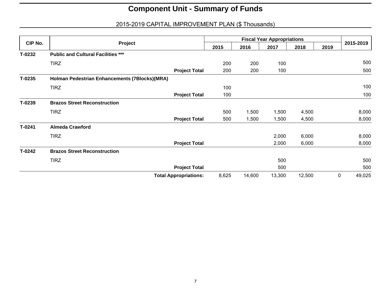|          | Project                                       |                              |       |        |        |        |      |             |
|----------|-----------------------------------------------|------------------------------|-------|--------|--------|--------|------|-------------|
| CIP No.  |                                               |                              | 2015  | 2016   | 2017   | 2018   | 2019 | 2015-2019   |
| T-0232   | <b>Public and Cultural Facilities ***</b>     |                              |       |        |        |        |      |             |
|          | <b>TIRZ</b>                                   |                              | 200   | 200    | 100    |        |      | 500         |
|          |                                               | <b>Project Total</b>         | 200   | 200    | 100    |        |      | 500         |
| $T-0235$ | Holman Pedestrian Enhancements (7Blocks)(MRA) |                              |       |        |        |        |      |             |
|          | <b>TIRZ</b>                                   |                              | 100   |        |        |        |      | 100         |
|          |                                               | <b>Project Total</b>         | 100   |        |        |        |      | 100         |
| T-0239   | <b>Brazos Street Reconstruction</b>           |                              |       |        |        |        |      |             |
|          | <b>TIRZ</b>                                   |                              | 500   | 1,500  | 1,500  | 4,500  |      | 8,000       |
|          |                                               | <b>Project Total</b>         | 500   | 1,500  | 1,500  | 4,500  |      | 8,000       |
| T-0241   | <b>Almeda Crawford</b>                        |                              |       |        |        |        |      |             |
|          | <b>TIRZ</b>                                   |                              |       |        | 2,000  | 6,000  |      | 8,000       |
|          |                                               | <b>Project Total</b>         |       |        | 2,000  | 6,000  |      | 8,000       |
| T-0242   | <b>Brazos Street Reconstruction</b>           |                              |       |        |        |        |      |             |
|          | <b>TIRZ</b>                                   |                              |       |        | 500    |        |      | 500         |
|          |                                               | <b>Project Total</b>         |       |        | 500    |        |      | 500         |
|          |                                               | <b>Total Appropriations:</b> | 8,625 | 14,600 | 13,300 | 12,500 |      | 0<br>49,025 |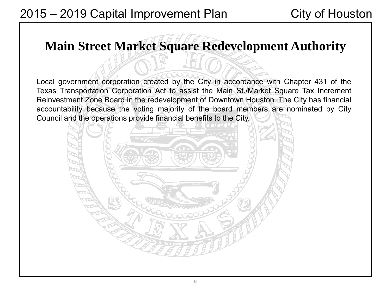# **Main Street Market Square Redevelopment Authority**

Local government corporation created by the City in accordance with Chapter 431 of the Texas Transportation Corporation Act to assist the Main St./Market Square Tax Increment Reinvestment Zone Board in the redevelopment of Downtown Houston. The City has financial accountability because the voting majority of the board members are nominated by City Council and the operations provide financial benefits to the City.

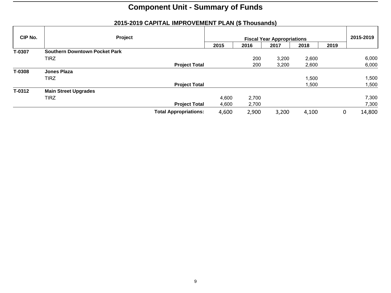| CIP No. | Project                              |                              |       |       | <b>Fiscal Year Appropriations</b> |       |      | 2015-2019              |
|---------|--------------------------------------|------------------------------|-------|-------|-----------------------------------|-------|------|------------------------|
|         |                                      |                              | 2015  | 2016  | 2017                              | 2018  | 2019 |                        |
| T-0307  | <b>Southern Downtown Pocket Park</b> |                              |       |       |                                   |       |      |                        |
|         | <b>TIRZ</b>                          |                              |       | 200   | 3,200                             | 2,600 |      | 6,000                  |
|         |                                      | <b>Project Total</b>         |       | 200   | 3,200                             | 2,600 |      | 6,000                  |
| T-0308  | Jones Plaza                          |                              |       |       |                                   |       |      |                        |
|         | <b>TIRZ</b>                          |                              |       |       |                                   | 1,500 |      | 1,500                  |
|         |                                      | <b>Project Total</b>         |       |       |                                   | 1,500 |      | 1,500                  |
| T-0312  | <b>Main Street Upgrades</b>          |                              |       |       |                                   |       |      |                        |
|         | <b>TIRZ</b>                          |                              | 4,600 | 2,700 |                                   |       |      | 7,300                  |
|         |                                      | <b>Project Total</b>         | 4,600 | 2,700 |                                   |       |      | 7,300                  |
|         |                                      | <b>Total Appropriations:</b> | 4,600 | 2,900 | 3,200                             | 4,100 |      | 14,800<br>$\mathbf{0}$ |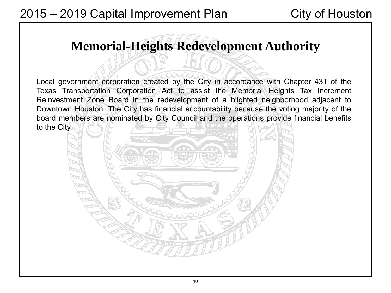# **Memorial-Heights Redevelopment Authority**

Local government corporation created by the City in accordance with Chapter 431 of the Texas Transportation Corporation Act to assist the Memorial Heights Tax Increment Reinvestment Zone Board in the redevelopment of a blighted neighborhood adjacent to Downtown Houston. The City has financial accountability because the voting majority of the board members are nominated by City Council and the operations provide financial benefits to the City.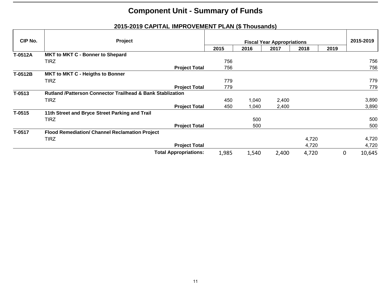| CIP No.  | Project                                                               |  |       | 2015-2019 |                                           |       |      |                       |
|----------|-----------------------------------------------------------------------|--|-------|-----------|-------------------------------------------|-------|------|-----------------------|
|          |                                                                       |  | 2015  | 2016      | <b>Fiscal Year Appropriations</b><br>2017 | 2018  | 2019 |                       |
| T-0512A  | <b>MKT to MKT C - Bonner to Shepard</b>                               |  |       |           |                                           |       |      |                       |
|          | <b>TIRZ</b>                                                           |  | 756   |           |                                           |       |      | 756                   |
|          | <b>Project Total</b>                                                  |  | 756   |           |                                           |       |      | 756                   |
| T-0512B  | <b>MKT to MKT C - Heigths to Bonner</b>                               |  |       |           |                                           |       |      |                       |
|          | <b>TIRZ</b>                                                           |  | 779   |           |                                           |       |      | 779                   |
|          | <b>Project Total</b>                                                  |  | 779   |           |                                           |       |      | 779                   |
| T-0513   | <b>Rutland /Patterson Connector Trailhead &amp; Bank Stablization</b> |  |       |           |                                           |       |      |                       |
|          | <b>TIRZ</b>                                                           |  | 450   | 1,040     | 2,400                                     |       |      | 3,890                 |
|          | <b>Project Total</b>                                                  |  | 450   | 1,040     | 2,400                                     |       |      | 3,890                 |
| $T-0515$ | 11th Street and Bryce Street Parking and Trail                        |  |       |           |                                           |       |      |                       |
|          | <b>TIRZ</b>                                                           |  |       | 500       |                                           |       |      | 500                   |
|          | <b>Project Total</b>                                                  |  |       | 500       |                                           |       |      | 500                   |
| T-0517   | Flood Remediation/ Channel Reclamation Project                        |  |       |           |                                           |       |      |                       |
|          | <b>TIRZ</b>                                                           |  |       |           |                                           | 4,720 |      | 4,720                 |
|          | <b>Project Total</b>                                                  |  |       |           |                                           | 4,720 |      | 4,720                 |
|          | <b>Total Appropriations:</b>                                          |  | 1,985 | 1,540     | 2,400                                     | 4,720 |      | $\mathbf 0$<br>10,645 |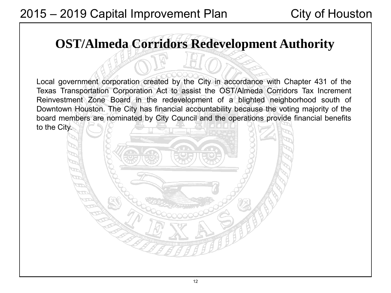# **OST/Almeda Corridors Redevelopment Authority**

Local government corporation created by the City in accordance with Chapter 431 of the Texas Transportation Corporation Act to assist the OST/Almeda Corridors Tax Increment Reinvestment Zone Board in the redevelopment of a blighted neighborhood south of Downtown Houston. The City has financial accountability because the voting majority of the board members are nominated by City Council and the operations provide financial benefits to the City.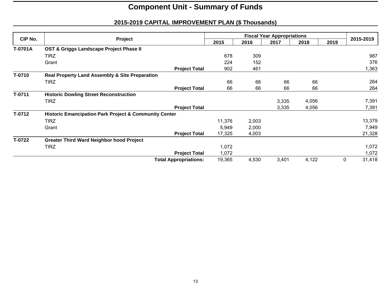|         | Project                                                          |                              |        |       |       |       |      |             |
|---------|------------------------------------------------------------------|------------------------------|--------|-------|-------|-------|------|-------------|
| CIP No. |                                                                  |                              | 2015   | 2016  | 2017  | 2018  | 2019 | 2015-2019   |
| T-0701A | OST & Griggs Landscape Project Phase II                          |                              |        |       |       |       |      |             |
|         | <b>TIRZ</b>                                                      |                              | 678    | 309   |       |       |      | 987         |
|         | Grant                                                            |                              | 224    | 152   |       |       |      | 376         |
|         |                                                                  | <b>Project Total</b>         | 902    | 461   |       |       |      | 1,363       |
| T-0710  | <b>Real Property Land Assembly &amp; Site Preparation</b>        |                              |        |       |       |       |      |             |
|         | <b>TIRZ</b>                                                      |                              | 66     | 66    | 66    | 66    |      | 264         |
|         |                                                                  | <b>Project Total</b>         | 66     | 66    | 66    | 66    |      | 264         |
| T-0711  | <b>Historic Dowling Street Reconstruction</b>                    |                              |        |       |       |       |      |             |
|         | <b>TIRZ</b>                                                      |                              |        |       | 3,335 | 4,056 |      | 7,391       |
|         |                                                                  | <b>Project Total</b>         |        |       | 3,335 | 4,056 |      | 7,391       |
| T-0712  | <b>Historic Emancipation Park Project &amp; Community Center</b> |                              |        |       |       |       |      |             |
|         | <b>TIRZ</b>                                                      |                              | 11,376 | 2,003 |       |       |      | 13,379      |
|         | Grant                                                            |                              | 5,949  | 2,000 |       |       |      | 7,949       |
|         |                                                                  | <b>Project Total</b>         | 17,325 | 4,003 |       |       |      | 21,328      |
| T-0722  | <b>Greater Third Ward Neighbor hood Project</b>                  |                              |        |       |       |       |      |             |
|         | <b>TIRZ</b>                                                      |                              | 1,072  |       |       |       |      | 1,072       |
|         |                                                                  | <b>Project Total</b>         | 1,072  |       |       |       |      | 1,072       |
|         |                                                                  | <b>Total Appropriations:</b> | 19,365 | 4,530 | 3,401 | 4,122 |      | 31,418<br>0 |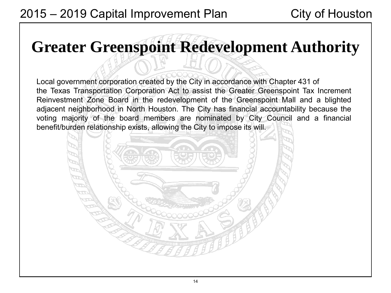# **Greater Greenspoint Redevelopment Authority**

Local government corporation created by the City in accordance with Chapter 431 of the Texas Transportation Corporation Act to assist the Greater Greenspoint Tax Increment Reinvestment Zone Board in the redevelopment of the Greenspoint Mall and a blighted adjacent neighborhood in North Houston. The City has financial accountability because the voting majority of the board members are nominated by City Council and a financial benefit/burden relationship exists, allowing the City to impose its will.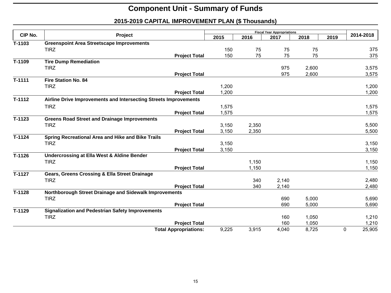|          |                                                                  |       |       | <b>Fiscal Year Appropriations</b> |       |      |             |
|----------|------------------------------------------------------------------|-------|-------|-----------------------------------|-------|------|-------------|
| CIP No.  | Project                                                          | 2015  | 2016  | 2017                              | 2018  | 2019 | 2014-2018   |
| T-1103   | <b>Greenspoint Area Streetscape Improvements</b>                 |       |       |                                   |       |      |             |
|          | <b>TIRZ</b>                                                      | 150   | 75    | 75                                | 75    |      | 375         |
|          | <b>Project Total</b>                                             | 150   | 75    | 75                                | 75    |      | 375         |
| T-1109   | <b>Tire Dump Remediation</b>                                     |       |       |                                   |       |      |             |
|          | <b>TIRZ</b>                                                      |       |       | 975                               | 2,600 |      | 3,575       |
|          | <b>Project Total</b>                                             |       |       | 975                               | 2,600 |      | 3,575       |
| $T-1111$ | <b>Fire Station No. 84</b>                                       |       |       |                                   |       |      |             |
|          | <b>TIRZ</b>                                                      | 1,200 |       |                                   |       |      | 1,200       |
|          | <b>Project Total</b>                                             | 1,200 |       |                                   |       |      | 1,200       |
| $T-1112$ | Airline Drive Improvements and Intersecting Streets Improvements |       |       |                                   |       |      |             |
|          | <b>TIRZ</b>                                                      | 1,575 |       |                                   |       |      | 1,575       |
|          | <b>Project Total</b>                                             | 1,575 |       |                                   |       |      | 1,575       |
| $T-1123$ | <b>Greens Road Street and Drainage Improvements</b>              |       |       |                                   |       |      |             |
|          | <b>TIRZ</b>                                                      | 3,150 | 2,350 |                                   |       |      | 5,500       |
|          | <b>Project Total</b>                                             | 3,150 | 2,350 |                                   |       |      | 5,500       |
| $T-1124$ | Spring Recreational Area and Hike and Bike Trails                |       |       |                                   |       |      |             |
|          | <b>TIRZ</b>                                                      | 3,150 |       |                                   |       |      | 3,150       |
|          | <b>Project Total</b>                                             | 3,150 |       |                                   |       |      | 3,150       |
| $T-1126$ | <b>Undercrossing at Ella West &amp; Aldine Bender</b>            |       |       |                                   |       |      |             |
|          | <b>TIRZ</b>                                                      |       | 1,150 |                                   |       |      | 1,150       |
|          | <b>Project Total</b>                                             |       | 1,150 |                                   |       |      | 1,150       |
| T-1127   | Gears, Greens Crossing & Ella Street Drainage                    |       |       |                                   |       |      |             |
|          | <b>TIRZ</b>                                                      |       | 340   | 2,140                             |       |      | 2,480       |
|          | <b>Project Total</b>                                             |       | 340   | 2,140                             |       |      | 2,480       |
| $T-1128$ | Northborough Street Drainage and Sidewalk Improvements           |       |       |                                   |       |      |             |
|          | <b>TIRZ</b>                                                      |       |       | 690                               | 5,000 |      | 5,690       |
|          | <b>Project Total</b>                                             |       |       | 690                               | 5,000 |      | 5,690       |
| T-1129   | <b>Signalization and Pedestrian Safety Improvements</b>          |       |       |                                   |       |      |             |
|          | <b>TIRZ</b>                                                      |       |       | 160                               | 1,050 |      | 1,210       |
|          | <b>Project Total</b>                                             |       |       | 160                               | 1,050 |      | 1,210       |
|          | <b>Total Appropriations:</b>                                     | 9,225 | 3,915 | 4,040                             | 8,725 |      | 25,905<br>0 |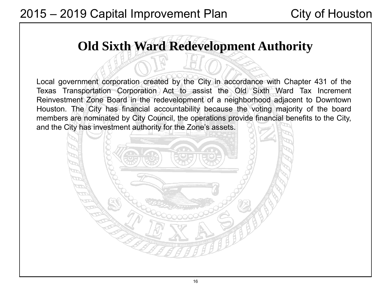# **Old Sixth Ward Redevelopment Authority**

Local government corporation created by the City in accordance with Chapter 431 of the Texas Transportation Corporation Act to assist the Old Sixth Ward Tax Increment Reinvestment Zone Board in the redevelopment of a neighborhood adjacent to Downtown Houston. The City has financial accountability because the voting majority of the board members are nominated by City Council, the operations provide financial benefits to the City, and the City has investment authority for the Zone's assets.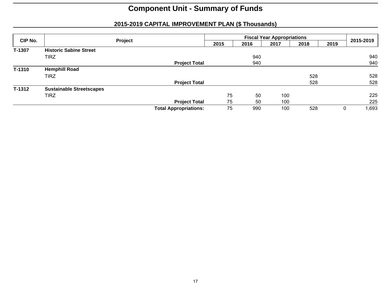| CIP No. | Project                         |                              |      |      |      |      |      |            |
|---------|---------------------------------|------------------------------|------|------|------|------|------|------------|
|         |                                 |                              | 2015 | 2016 | 2017 | 2018 | 2019 | 2015-2019  |
| T-1307  | <b>Historic Sabine Street</b>   |                              |      |      |      |      |      |            |
|         | <b>TIRZ</b>                     |                              |      | 940  |      |      |      | 940        |
|         |                                 | <b>Project Total</b>         |      | 940  |      |      |      | 940        |
| T-1310  | <b>Hemphill Road</b>            |                              |      |      |      |      |      |            |
|         | <b>TIRZ</b>                     |                              |      |      |      | 528  |      | 528        |
|         |                                 | <b>Project Total</b>         |      |      |      | 528  |      | 528        |
| T-1312  | <b>Sustainable Streetscapes</b> |                              |      |      |      |      |      |            |
|         | <b>TIRZ</b>                     |                              | 75   | 50   | 100  |      |      | 225        |
|         |                                 | <b>Project Total</b>         | 75   | 50   | 100  |      |      | 225        |
|         |                                 | <b>Total Appropriations:</b> | 75   | 990  | 100  | 528  |      | 1,693<br>0 |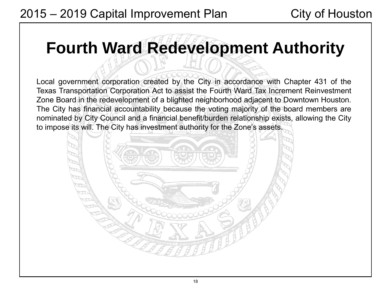# **Fourth Ward Redevelopment Authority**

Local government corporation created by the City in accordance with Chapter 431 of the Texas Transportation Corporation Act to assist the Fourth Ward Tax Increment Reinvestment Zone Board in the redevelopment of a blighted neighborhood adjacent to Downtown Houston. The City has financial accountability because the voting majority of the board members are nominated by City Council and a financial benefit/burden relationship exists, allowing the City to impose its will. The City has investment authority for the Zone's assets.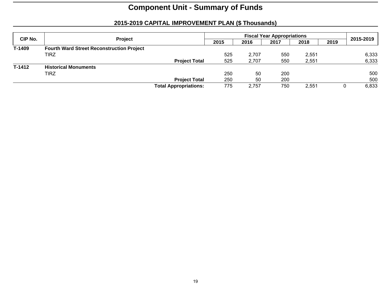| CIP No. |                                                  |                              |      | 2015-2019 |      |       |  |       |
|---------|--------------------------------------------------|------------------------------|------|-----------|------|-------|--|-------|
|         | <b>Project</b>                                   | 2015                         | 2016 | 2017      | 2018 | 2019  |  |       |
| T-1409  | <b>Fourth Ward Street Reconstruction Project</b> |                              |      |           |      |       |  |       |
|         | TIRZ                                             |                              | 525  | 2.707     | 550  | 2,551 |  | 6,333 |
|         |                                                  | <b>Project Total</b>         | 525  | 2,707     | 550  | 2,551 |  | 6,333 |
| T-1412  | <b>Historical Monuments</b>                      |                              |      |           |      |       |  |       |
|         | TIRZ                                             |                              | 250  | 50        | 200  |       |  | 500   |
|         |                                                  | <b>Project Total</b>         | 250  | 50        | 200  |       |  | 500   |
|         |                                                  | <b>Total Appropriations:</b> | 775  | 2.757     | 750  | 2.551 |  | 6,833 |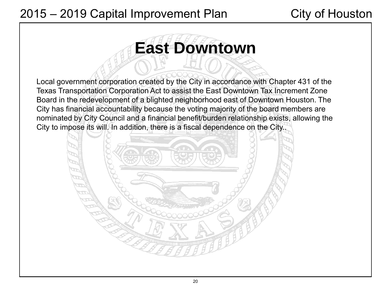# **East Downtown**

Local government corporation created by the City in accordance with Chapter 431 of the Texas Transportation Corporation Act to assist the East Downtown Tax Increment Zone Board in the redevelopment of a blighted neighborhood east of Downtown Houston. The City has financial accountability because the voting majority of the board members are nominated by City Council and a financial benefit/burden relationship exists, allowing the City to impose its will. In addition, there is a fiscal dependence on the City..

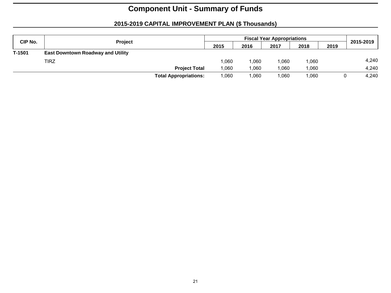| CIP No. | Project                                  |                              |      | 2015-2019 |      |      |      |       |
|---------|------------------------------------------|------------------------------|------|-----------|------|------|------|-------|
|         |                                          |                              | 2015 | 2016      | 2017 | 2018 | 2019 |       |
| T-1501  | <b>East Downtown Roadway and Utility</b> |                              |      |           |      |      |      |       |
|         | <b>TIRZ</b>                              |                              | .060 | 060.      | .060 | .060 |      | 4,240 |
|         |                                          | <b>Project Total</b>         | .060 | 000.1     | .060 | .060 |      | 4,240 |
|         |                                          | <b>Total Appropriations:</b> | .060 | 060.      | .060 | .060 |      | 4.240 |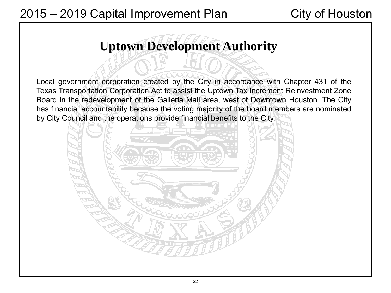# **Uptown Development Authority**

Local government corporation created by the City in accordance with Chapter 431 of the Texas Transportation Corporation Act to assist the Uptown Tax Increment Reinvestment Zone Board in the redevelopment of the Galleria Mall area, west of Downtown Houston. The City has financial accountability because the voting majority of the board members are nominated by City Council and the operations provide financial benefits to the City.

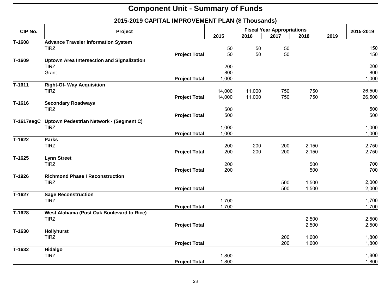| CIP No.               | Project                                           |                      |        | 2015-2019 |                                           |       |      |        |
|-----------------------|---------------------------------------------------|----------------------|--------|-----------|-------------------------------------------|-------|------|--------|
|                       |                                                   |                      | 2015   | 2016      | <b>Fiscal Year Appropriations</b><br>2017 | 2018  | 2019 |        |
| T-1608                | <b>Advance Traveler Information System</b>        |                      |        |           |                                           |       |      |        |
|                       | <b>TIRZ</b>                                       |                      | 50     | 50        | 50                                        |       |      | 150    |
|                       |                                                   | <b>Project Total</b> | 50     | 50        | 50                                        |       |      | 150    |
| T-1609                | <b>Uptown Area Intersection and Signalization</b> |                      |        |           |                                           |       |      |        |
|                       | <b>TIRZ</b>                                       |                      | 200    |           |                                           |       |      | 200    |
|                       | Grant                                             |                      | 800    |           |                                           |       |      | 800    |
|                       |                                                   | <b>Project Total</b> | 1,000  |           |                                           |       |      | 1,000  |
| $T-1611$              | <b>Right-Of- Way Acquisition</b>                  |                      |        |           |                                           |       |      |        |
|                       | <b>TIRZ</b>                                       |                      | 14,000 | 11,000    | 750                                       | 750   |      | 26,500 |
|                       |                                                   | <b>Project Total</b> | 14,000 | 11,000    | 750                                       | 750   |      | 26,500 |
| $\overline{T} - 1616$ | <b>Secondary Roadways</b>                         |                      |        |           |                                           |       |      |        |
|                       | <b>TIRZ</b>                                       |                      | 500    |           |                                           |       |      | 500    |
|                       |                                                   | <b>Project Total</b> | 500    |           |                                           |       |      | 500    |
| $T-1617$ seg $C$      | Uptown Pedestrian Network - (Segment C)           |                      |        |           |                                           |       |      |        |
|                       | <b>TIRZ</b>                                       |                      | 1,000  |           |                                           |       |      | 1,000  |
|                       |                                                   | <b>Project Total</b> | 1,000  |           |                                           |       |      | 1,000  |
| $T-1622$              | <b>Parks</b>                                      |                      |        |           |                                           |       |      |        |
|                       | <b>TIRZ</b>                                       |                      | 200    | 200       | 200                                       | 2,150 |      | 2,750  |
|                       |                                                   | <b>Project Total</b> | 200    | 200       | 200                                       | 2,150 |      | 2,750  |
| $\overline{T}$ -1625  | <b>Lynn Street</b>                                |                      |        |           |                                           |       |      |        |
|                       | <b>TIRZ</b>                                       |                      | 200    |           |                                           | 500   |      | 700    |
|                       |                                                   | <b>Project Total</b> | 200    |           |                                           | 500   |      | 700    |
| T-1926                | <b>Richmond Phase I Reconstruction</b>            |                      |        |           |                                           |       |      |        |
|                       | <b>TIRZ</b>                                       |                      |        |           | 500                                       | 1,500 |      | 2,000  |
|                       |                                                   | <b>Project Total</b> |        |           | 500                                       | 1,500 |      | 2,000  |
| T-1627                | <b>Sage Reconstruction</b>                        |                      |        |           |                                           |       |      |        |
|                       | <b>TIRZ</b>                                       |                      | 1,700  |           |                                           |       |      | 1,700  |
|                       |                                                   | <b>Project Total</b> | 1,700  |           |                                           |       |      | 1,700  |
| $\overline{T} - 1628$ | West Alabama (Post Oak Boulevard to Rice)         |                      |        |           |                                           |       |      |        |
|                       | <b>TIRZ</b>                                       |                      |        |           |                                           | 2,500 |      | 2,500  |
|                       |                                                   | <b>Project Total</b> |        |           |                                           | 2,500 |      | 2,500  |
| $\overline{T}$ -1630  | <b>Hollyhurst</b>                                 |                      |        |           |                                           |       |      |        |
|                       | <b>TIRZ</b>                                       |                      |        |           | 200                                       | 1,600 |      | 1,800  |
|                       |                                                   | <b>Project Total</b> |        |           | 200                                       | 1,600 |      | 1,800  |
| T-1632                | Hidalgo                                           |                      |        |           |                                           |       |      |        |
|                       | <b>TIRZ</b>                                       |                      | 1,800  |           |                                           |       |      | 1,800  |
|                       |                                                   | <b>Project Total</b> | 1,800  |           |                                           |       |      | 1,800  |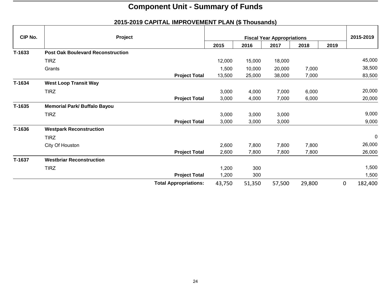| CIP No.  | Project                                  |                              |        |        | <b>Fiscal Year Appropriations</b> |        |      | 2015-2019    |
|----------|------------------------------------------|------------------------------|--------|--------|-----------------------------------|--------|------|--------------|
|          |                                          |                              | 2015   | 2016   | 2017                              | 2018   | 2019 |              |
| T-1633   | <b>Post Oak Boulevard Reconstruction</b> |                              |        |        |                                   |        |      |              |
|          | <b>TIRZ</b>                              |                              | 12,000 | 15,000 | 18,000                            |        |      | 45,000       |
|          | Grants                                   |                              | 1,500  | 10,000 | 20,000                            | 7,000  |      | 38,500       |
|          |                                          | <b>Project Total</b>         | 13,500 | 25,000 | 38,000                            | 7,000  |      | 83,500       |
| T-1634   | <b>West Loop Transit Way</b>             |                              |        |        |                                   |        |      |              |
|          | <b>TIRZ</b>                              |                              | 3,000  | 4,000  | 7,000                             | 6,000  |      | 20,000       |
|          |                                          | <b>Project Total</b>         | 3,000  | 4,000  | 7,000                             | 6,000  |      | 20,000       |
| $T-1635$ | Memorial Park/ Buffalo Bayou             |                              |        |        |                                   |        |      |              |
|          | <b>TIRZ</b>                              |                              | 3,000  | 3,000  | 3,000                             |        |      | 9,000        |
|          |                                          | <b>Project Total</b>         | 3,000  | 3,000  | 3,000                             |        |      | 9,000        |
| T-1636   | <b>Westpark Reconstruction</b>           |                              |        |        |                                   |        |      |              |
|          | <b>TIRZ</b>                              |                              |        |        |                                   |        |      | $\mathbf 0$  |
|          | City Of Houston                          |                              | 2,600  | 7,800  | 7,800                             | 7,800  |      | 26,000       |
|          |                                          | <b>Project Total</b>         | 2,600  | 7,800  | 7,800                             | 7,800  |      | 26,000       |
| T-1637   | <b>Westbriar Reconstruction</b>          |                              |        |        |                                   |        |      |              |
|          | TIRZ                                     |                              | 1,200  | 300    |                                   |        |      | 1,500        |
|          |                                          | <b>Project Total</b>         | 1,200  | 300    |                                   |        |      | 1,500        |
|          |                                          | <b>Total Appropriations:</b> | 43,750 | 51,350 | 57,500                            | 29,800 |      | 0<br>182,400 |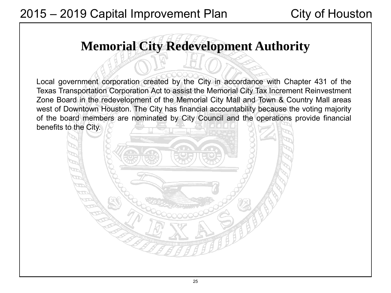# **Memorial City Redevelopment Authority**

Local government corporation created by the City in accordance with Chapter 431 of the Texas Transportation Corporation Act to assist the Memorial City Tax Increment Reinvestment Zone Board in the redevelopment of the Memorial City Mall and Town & Country Mall areas west of Downtown Houston. The City has financial accountability because the voting majority of the board members are nominated by City Council and the operations provide financial benefits to the City.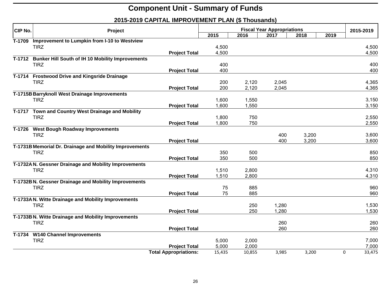| <b>CIP No.</b> | Project                                                 |                              |        | 2015-2019 |                                           |       |      |             |
|----------------|---------------------------------------------------------|------------------------------|--------|-----------|-------------------------------------------|-------|------|-------------|
|                |                                                         |                              | 2015   | 2016      | <b>Fiscal Year Appropriations</b><br>2017 | 2018  | 2019 |             |
| T-1709         | Improvement to Lumpkin from I-10 to Westview            |                              |        |           |                                           |       |      |             |
|                | <b>TIRZ</b>                                             |                              | 4,500  |           |                                           |       |      | 4,500       |
|                |                                                         | <b>Project Total</b>         | 4,500  |           |                                           |       |      | 4,500       |
|                | T-1712 Bunker Hill South of IH 10 Mobility Improvements |                              |        |           |                                           |       |      |             |
|                | <b>TIRZ</b>                                             |                              | 400    |           |                                           |       |      | 400         |
|                |                                                         | <b>Project Total</b>         | 400    |           |                                           |       |      | 400         |
|                | T-1714 Frostwood Drive and Kingsride Drainage           |                              |        |           |                                           |       |      |             |
|                | <b>TIRZ</b>                                             |                              | 200    | 2,120     | 2,045                                     |       |      | 4,365       |
|                |                                                         | <b>Project Total</b>         | 200    | 2,120     | 2,045                                     |       |      | 4,365       |
|                | T-1715B Barryknoll West Drainage Improvements           |                              |        |           |                                           |       |      |             |
|                | <b>TIRZ</b>                                             |                              | 1,600  | 1,550     |                                           |       |      | 3,150       |
|                |                                                         | <b>Project Total</b>         | 1,600  | 1,550     |                                           |       |      | 3,150       |
|                | T-1717 Town and Country West Drainage and Mobility      |                              |        |           |                                           |       |      |             |
|                | <b>TIRZ</b>                                             |                              | 1,800  | 750       |                                           |       |      | 2,550       |
|                |                                                         | <b>Project Total</b>         | 1,800  | 750       |                                           |       |      | 2,550       |
|                | T-1726 West Bough Roadway Improvements                  |                              |        |           |                                           |       |      |             |
|                | <b>TIRZ</b>                                             |                              |        |           | 400                                       | 3,200 |      | 3,600       |
|                |                                                         | <b>Project Total</b>         |        |           | 400                                       | 3,200 |      | 3,600       |
|                | T-1731B Memorial Dr. Drainage and Mobility Improvements |                              |        |           |                                           |       |      |             |
|                | <b>TIRZ</b>                                             |                              | 350    | 500       |                                           |       |      | 850         |
|                |                                                         | <b>Project Total</b>         | 350    | 500       |                                           |       |      | 850         |
|                | T-1732A N. Gessner Drainage and Mobility Improvements   |                              |        |           |                                           |       |      |             |
|                | <b>TIRZ</b>                                             |                              | 1,510  | 2,800     |                                           |       |      | 4,310       |
|                |                                                         | <b>Project Total</b>         | 1,510  | 2,800     |                                           |       |      | 4,310       |
|                | T-1732B N. Gessner Drainage and Mobility Improvements   |                              |        |           |                                           |       |      |             |
|                | <b>TIRZ</b>                                             |                              | 75     | 885       |                                           |       |      | 960         |
|                |                                                         | <b>Project Total</b>         | 75     | 885       |                                           |       |      | 960         |
|                | T-1733A N. Witte Drainage and Mobility Improvements     |                              |        |           |                                           |       |      |             |
|                | <b>TIRZ</b>                                             |                              |        | 250       | 1,280                                     |       |      | 1,530       |
|                |                                                         | <b>Project Total</b>         |        | 250       | 1,280                                     |       |      | 1,530       |
|                | T-1733B N. Witte Drainage and Mobility Improvements     |                              |        |           |                                           |       |      |             |
|                | <b>TIRZ</b>                                             |                              |        |           | 260                                       |       |      | 260         |
|                |                                                         | <b>Project Total</b>         |        |           | 260                                       |       |      | 260         |
|                | T-1734 W140 Channel Improvements                        |                              |        |           |                                           |       |      |             |
|                | <b>TIRZ</b>                                             |                              | 5,000  | 2,000     |                                           |       |      | 7,000       |
|                |                                                         | <b>Project Total</b>         | 5,000  | 2,000     |                                           |       |      | 7,000       |
|                |                                                         | <b>Total Appropriations:</b> | 15,435 | 10,855    | 3,985                                     | 3,200 |      | 0<br>33,475 |
|                |                                                         |                              |        |           |                                           |       |      |             |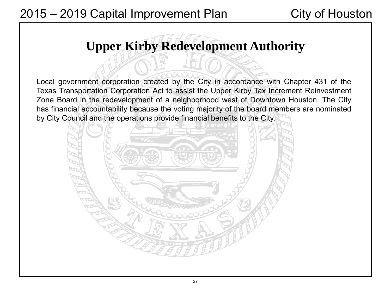# **Upper Kirby Redevelopment Authority**

Local government corporation created by the City in accordance with Chapter 431 of the Texas Transportation Corporation Act to assist the Upper Kirby Tax Increment Reinvestment Zone Board in the redevelopment of a neighborhood west of Downtown Houston. The City has financial accountability because the voting majority of the board members are nominated by City Council and the operations provide financial benefits to the City.

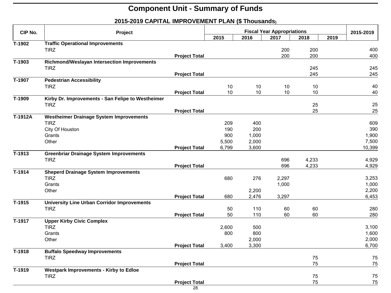| CIP No.              | Project                                            |                      | <b>Fiscal Year Appropriations</b> |       |       |       |  | 2015-2019 |
|----------------------|----------------------------------------------------|----------------------|-----------------------------------|-------|-------|-------|--|-----------|
|                      |                                                    | 2015                 | 2016                              | 2017  | 2018  | 2019  |  |           |
| T-1902               | <b>Traffic Operational Improvements</b>            |                      |                                   |       |       |       |  |           |
|                      | <b>TIRZ</b>                                        |                      |                                   |       | 200   | 200   |  | 400       |
|                      |                                                    | <b>Project Total</b> |                                   |       | 200   | 200   |  | 400       |
| T-1903               | Richmond/Weslayan Intersection Improvements        |                      |                                   |       |       |       |  |           |
|                      | <b>TIRZ</b>                                        |                      |                                   |       |       | 245   |  | 245       |
|                      |                                                    | <b>Project Total</b> |                                   |       |       | 245   |  | 245       |
| T-1907               | <b>Pedestrian Accessibility</b>                    |                      |                                   |       |       |       |  |           |
|                      | <b>TIRZ</b>                                        |                      | 10                                | $10$  | $10$  | 10    |  | 40        |
|                      |                                                    | <b>Project Total</b> | 10                                | 10    | $10$  | 10    |  | 40        |
| T-1909               | Kirby Dr. Improvements - San Felipe to Westheimer  |                      |                                   |       |       |       |  |           |
|                      | <b>TIRZ</b>                                        |                      |                                   |       |       | 25    |  | 25        |
|                      |                                                    | <b>Project Total</b> |                                   |       |       | 25    |  | 25        |
| T-1912A              | <b>Westheimer Drainage System Improvements</b>     |                      |                                   |       |       |       |  |           |
|                      | <b>TIRZ</b>                                        |                      | 209                               | 400   |       |       |  | 609       |
|                      | City Of Houston                                    |                      | 190                               | 200   |       |       |  | 390       |
|                      | Grants                                             |                      | 900                               | 1,000 |       |       |  | 1,900     |
|                      | Other                                              |                      | 5,500                             | 2,000 |       |       |  | 7,500     |
|                      |                                                    | <b>Project Total</b> | 6,799                             | 3,600 |       |       |  | 10,399    |
| $\overline{T}$ -1913 | <b>Greenbriar Drainage System Improvements</b>     |                      |                                   |       |       |       |  |           |
|                      | <b>TIRZ</b>                                        |                      |                                   |       | 696   | 4,233 |  | 4,929     |
|                      |                                                    | <b>Project Total</b> |                                   |       | 696   | 4,233 |  | 4,929     |
| T-1914               | <b>Sheperd Drainage System Improvements</b>        |                      |                                   |       |       |       |  |           |
|                      | <b>TIRZ</b>                                        |                      | 680                               | 276   | 2,297 |       |  | 3,253     |
|                      | Grants                                             |                      |                                   |       | 1,000 |       |  | 1,000     |
|                      | Other                                              |                      |                                   | 2,200 |       |       |  | 2,200     |
|                      |                                                    | <b>Project Total</b> | 680                               | 2,476 | 3,297 |       |  | 6,453     |
| $\overline{T}$ -1915 | <b>University Line Urban Corridor Improvements</b> |                      |                                   |       |       |       |  |           |
|                      | <b>TIRZ</b>                                        |                      | 50                                | 110   | 60    | 60    |  | 280       |
|                      |                                                    | <b>Project Total</b> | 50                                | 110   | 60    | 60    |  | 280       |
| T-1917               | <b>Upper Kirby Civic Complex</b>                   |                      |                                   |       |       |       |  |           |
|                      | <b>TIRZ</b>                                        |                      | 2,600                             | 500   |       |       |  | 3,100     |
|                      | Grants                                             |                      | 800                               | 800   |       |       |  | 1,600     |
|                      | Other                                              |                      |                                   | 2,000 |       |       |  | 2,000     |
|                      |                                                    | <b>Project Total</b> | 3,400                             | 3,300 |       |       |  | 6,700     |
| T-1918               | <b>Buffalo Speedway Improvements</b>               |                      |                                   |       |       |       |  |           |
|                      | <b>TIRZ</b>                                        |                      |                                   |       |       | 75    |  | 75        |
|                      |                                                    | <b>Project Total</b> |                                   |       |       | 75    |  | 75        |
| T-1919               | <b>Westpark Improvements - Kirby to Edloe</b>      |                      |                                   |       |       |       |  |           |
|                      | <b>TIRZ</b>                                        |                      |                                   |       |       | 75    |  | 75        |
|                      |                                                    | <b>Project Total</b> |                                   |       |       | 75    |  | 75        |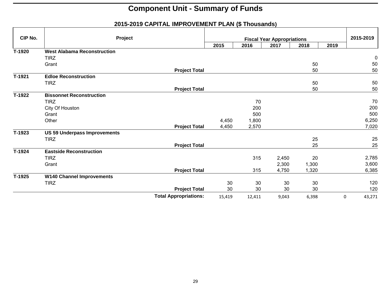| CIP No. | Project                             |                              |        |        | <b>Fiscal Year Appropriations</b> |       |      | 2015-2019 |  |
|---------|-------------------------------------|------------------------------|--------|--------|-----------------------------------|-------|------|-----------|--|
|         |                                     |                              | 2015   | 2016   | 2017                              | 2018  | 2019 |           |  |
| T-1920  | <b>West Alabama Reconstruction</b>  |                              |        |        |                                   |       |      |           |  |
|         | <b>TIRZ</b>                         |                              |        |        |                                   |       |      | 0         |  |
|         | Grant                               |                              |        |        |                                   | 50    |      | 50        |  |
|         |                                     | <b>Project Total</b>         |        |        |                                   | 50    |      | 50        |  |
| T-1921  | <b>Edloe Reconstruction</b>         |                              |        |        |                                   |       |      |           |  |
|         | <b>TIRZ</b>                         |                              |        |        |                                   | 50    |      | 50        |  |
|         |                                     | <b>Project Total</b>         |        |        |                                   | 50    |      | 50        |  |
| T-1922  | <b>Bissonnet Reconstruction</b>     |                              |        |        |                                   |       |      |           |  |
|         | <b>TIRZ</b>                         |                              |        | 70     |                                   |       |      | 70        |  |
|         | City Of Houston                     |                              |        | 200    |                                   |       |      | 200       |  |
|         | Grant                               |                              |        | 500    |                                   |       |      | 500       |  |
|         | Other                               |                              | 4,450  | 1,800  |                                   |       |      | 6,250     |  |
|         |                                     | <b>Project Total</b>         | 4,450  | 2,570  |                                   |       |      | 7,020     |  |
| T-1923  | <b>US 59 Underpass Improvements</b> |                              |        |        |                                   |       |      |           |  |
|         | <b>TIRZ</b>                         |                              |        |        |                                   | 25    |      | 25        |  |
|         |                                     | <b>Project Total</b>         |        |        |                                   | 25    |      | 25        |  |
| T-1924  | <b>Eastside Reconstruction</b>      |                              |        |        |                                   |       |      |           |  |
|         | <b>TIRZ</b>                         |                              |        | 315    | 2,450                             | 20    |      | 2,785     |  |
|         | Grant                               |                              |        |        | 2,300                             | 1,300 |      | 3,600     |  |
|         |                                     | <b>Project Total</b>         |        | 315    | 4,750                             | 1,320 |      | 6,385     |  |
| T-1925  | <b>W140 Channel Improvements</b>    |                              |        |        |                                   |       |      |           |  |
|         | <b>TIRZ</b>                         |                              | 30     | 30     | 30                                | 30    |      | 120       |  |
|         |                                     | <b>Project Total</b>         | 30     | 30     | 30                                | 30    |      | 120       |  |
|         |                                     | <b>Total Appropriations:</b> | 15,419 | 12,411 | 9,043                             | 6,398 | 0    | 43,271    |  |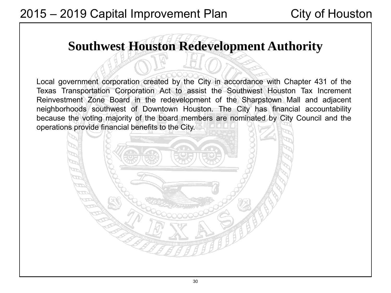# **Southwest Houston Redevelopment Authority**

Local government corporation created by the City in accordance with Chapter 431 of the Texas Transportation Corporation Act to assist the Southwest Houston Tax Increment Reinvestment Zone Board in the redevelopment of the Sharpstown Mall and adjacent neighborhoods southwest of Downtown Houston. The City has financial accountability because the voting majority of the board members are nominated by City Council and the operations provide financial benefits to the City.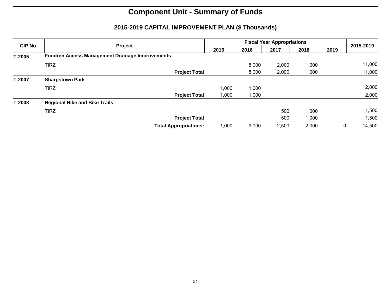| CIP No.  | Project                                                | 2015  | 2016  | 2017  | 2018  | 2019 | 2015-2019   |
|----------|--------------------------------------------------------|-------|-------|-------|-------|------|-------------|
| $T-2005$ | <b>Fondren Access Management Drainage Improvements</b> |       |       |       |       |      |             |
|          | <b>TIRZ</b>                                            |       | 8,000 | 2,000 | 1,000 |      | 11,000      |
|          | <b>Project Total</b>                                   |       | 8,000 | 2,000 | 1,000 |      | 11,000      |
| T-2007   | <b>Sharpstown Park</b>                                 |       |       |       |       |      |             |
|          | <b>TIRZ</b>                                            | 1,000 | 1,000 |       |       |      | 2,000       |
|          | <b>Project Total</b>                                   | 1,000 | 1,000 |       |       |      | 2,000       |
| T-2008   | <b>Regional Hike and Bike Trails</b>                   |       |       |       |       |      |             |
|          | <b>TIRZ</b>                                            |       |       | 500   | 1,000 |      | 1,500       |
|          | <b>Project Total</b>                                   |       |       | 500   | 1,000 |      | 500, ا      |
|          | <b>Total Appropriations:</b>                           | 1,000 | 9,000 | 2,500 | 2,000 |      | 14,500<br>0 |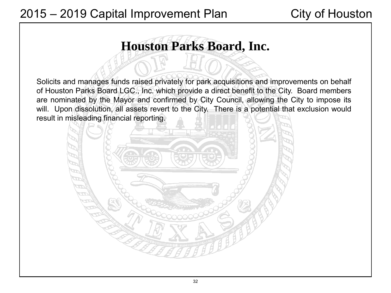# **Houston Parks Board, Inc.**

Solicits and manages funds raised privately for park acquisitions and improvements on behalf of Houston Parks Board LGC., Inc. which provide a direct benefit to the City. Board members are nominated by the Mayor and confirmed by City Council, allowing the City to impose its will. Upon dissolution, all assets revert to the City. There is a potential that exclusion would result in misleading financial reporting.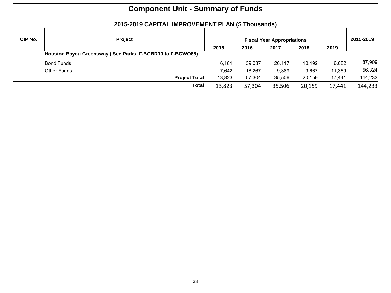#### **CIP No. Project Project Fiscal Year Appropriations** 2015-2019 **2015 2016 2017 2018 2019 Houston Bayou Greensway ( See Parks F-BGBR10 to F-BGWO88)**  Bond Funds 6,181 39,037 26,117 10,492 6,082 87,909 Other Funds 7,642 18,267 9,389 9,667 11,359 56,324 **Project Total** 13,823 57,304 35,506 20,159 17,441 144,233 **Total** 13,823 57,304 35,506 20,159 17,441 144,233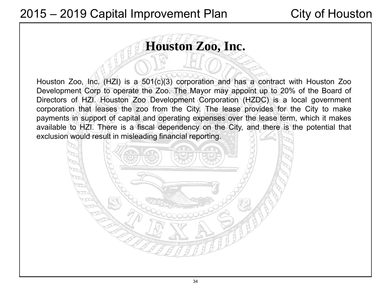# **Houston Zoo, Inc.**

Houston Zoo, Inc. (HZI) is a 501(c)(3) corporation and has a contract with Houston Zoo Development Corp to operate the Zoo. The Mayor may appoint up to 20% of the Board of Directors of HZI. Houston Zoo Development Corporation (HZDC) is a local government corporation that leases the zoo from the City. The lease provides for the City to make payments in support of capital and operating expenses over the lease term, which it makes available to HZI. There is a fiscal dependency on the City, and there is the potential that exclusion would result in misleading financial reporting.

34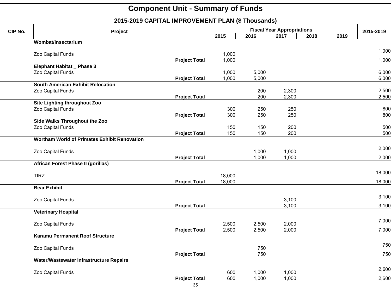| CIP No. | Project                                             |                      |        | 2015-2019                                 |       |      |  |        |
|---------|-----------------------------------------------------|----------------------|--------|-------------------------------------------|-------|------|--|--------|
|         |                                                     | 2015                 | 2016   | <b>Fiscal Year Appropriations</b><br>2017 | 2018  | 2019 |  |        |
|         | Wombat/Insectarium                                  |                      |        |                                           |       |      |  |        |
|         | Zoo Capital Funds                                   |                      | 1,000  |                                           |       |      |  | 1,000  |
|         |                                                     | <b>Project Total</b> | 1,000  |                                           |       |      |  | 1,000  |
|         | Elephant Habitat _ Phase 3                          |                      |        |                                           |       |      |  |        |
|         | Zoo Capital Funds                                   |                      | 1,000  | 5,000                                     |       |      |  | 6,000  |
|         |                                                     | <b>Project Total</b> | 1,000  | 5,000                                     |       |      |  | 6,000  |
|         | <b>South American Exhibit Relocation</b>            |                      |        |                                           |       |      |  |        |
|         | Zoo Capital Funds                                   |                      |        | 200                                       | 2,300 |      |  | 2,500  |
|         |                                                     | <b>Project Total</b> |        | 200                                       | 2,300 |      |  | 2,500  |
|         | Site Lighting throughout Zoo                        |                      |        |                                           |       |      |  |        |
|         | Zoo Capital Funds                                   |                      | 300    | 250                                       | 250   |      |  | 800    |
|         | Side Walks Throughout the Zoo                       | <b>Project Total</b> | 300    | 250                                       | 250   |      |  | 800    |
|         | Zoo Capital Funds                                   |                      | 150    | 150                                       | 200   |      |  | 500    |
|         |                                                     | <b>Project Total</b> | 150    | 150                                       | 200   |      |  | 500    |
|         | <b>Wortham World of Primates Exhibit Renovation</b> |                      |        |                                           |       |      |  |        |
|         |                                                     |                      |        |                                           |       |      |  | 2,000  |
|         | Zoo Capital Funds                                   |                      |        | 1,000                                     | 1,000 |      |  |        |
|         |                                                     | <b>Project Total</b> |        | 1,000                                     | 1,000 |      |  | 2,000  |
|         | African Forest Phase II (gorillas)                  |                      |        |                                           |       |      |  |        |
|         | <b>TIRZ</b>                                         |                      | 18,000 |                                           |       |      |  | 18,000 |
|         |                                                     | <b>Project Total</b> | 18,000 |                                           |       |      |  | 18,000 |
|         | <b>Bear Exhibit</b>                                 |                      |        |                                           |       |      |  |        |
|         |                                                     |                      |        |                                           |       |      |  | 3,100  |
|         | Zoo Capital Funds                                   |                      |        |                                           | 3,100 |      |  |        |
|         |                                                     | <b>Project Total</b> |        |                                           | 3,100 |      |  | 3,100  |
|         | <b>Veterinary Hospital</b>                          |                      |        |                                           |       |      |  |        |
|         | Zoo Capital Funds                                   |                      | 2,500  | 2,500                                     | 2,000 |      |  | 7,000  |
|         |                                                     | <b>Project Total</b> | 2,500  | 2,500                                     | 2,000 |      |  | 7,000  |
|         | Karamu Permanent Roof Structure                     |                      |        |                                           |       |      |  |        |
|         |                                                     |                      |        |                                           |       |      |  | 750    |
|         | Zoo Capital Funds                                   | <b>Project Total</b> |        | 750<br>750                                |       |      |  | 750    |
|         | Water/Wastewater infrastructure Repairs             |                      |        |                                           |       |      |  |        |
|         |                                                     |                      |        |                                           |       |      |  | 2,600  |
|         | Zoo Capital Funds                                   |                      | 600    | 1,000                                     | 1,000 |      |  |        |
|         |                                                     | <b>Project Total</b> | 600    | 1,000                                     | 1,000 |      |  | 2,600  |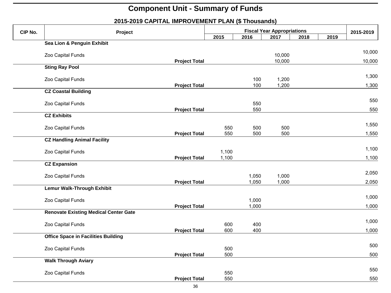#### **2015-2019 CAPITAL IMPROVEMENT PLAN (\$ Thousands) CIP No.** Project Project Fiscal Year Appropriations 2015-2019<br>2015 - 2016 2017 2018 2019 2019 **2015 2016 2017 2018 2019 Sea Lion & Penguin Exhibit** <sup>000</sup> Zoo Capital Funds 10,000 10,000 **Project Total** 10,000 10,000 10,000 **Sting Ray Pool** 00. 200 Zoo Capital Funds 1,300 کان 1,100 کیلومتر میں 1,200 کے بعد استعمال میں ایک مقابل میں ایک مقابل میں ای<br>اس عمل اللہ علی اللہ علی اللہ علی اللہ علی اللہ علی اللہ علی اللہ علی اللہ علی اللہ علی اللہ علی اللہ علی اللہ **Project Total 100 1,200 1,300 1,300 CZ Coastal Building** <sup>000</sup> Zoo Capital Funds <sup>550</sup> <sup>550</sup> **Project Total 550** 550 550 550 550 **CZ Exhibits** <sup>000</sup> Zoo Capital Funds <sup>550</sup> <sup>500</sup> <sup>500</sup> 1,550 **Project Total** 550 500 500 1,550 **CZ Handling Animal Facility** <sup>000</sup> Zoo Capital Funds 1,100 1,100 **Project Total 1,100 1,100 1,100 1,100 1,100 1,100 1,100 1,100 1,100 1,100 1,100 1,100 1,100 1,100 1,100 1,100 1,100 1,100 1,100 1,100 1,100 1,100 1,100 1,100 1,100 1,100 1,100 1,100 1,100 1,100 1,100 1,100 1,100 1,100 1,1 CZ Expansion** <sup>000</sup> Zoo Capital Funds 1,050 1,000 2,050 **Project Total** 1,050 1,000 1,000 2,050 **Lemur Walk-Through Exhibit**  <sup>000</sup> Zoo Capital Funds 1,000 1,000 **Project Total** 1,000 1,000 **Renovate Existing Medical Center Gate** <sup>000</sup> Zoo Capital Funds <sup>600</sup> <sup>400</sup> 1,000 **Project Total 600 400 400 1,000 1,000 1,000 1,000 1,000 1,000 1,000 1,000 1,000 1,000 1,000 1,000 1,000 1,000 1,000 1,000 1,000 1,000 1,000 1,000 1,000 1,000 1,000 1,000 1,000 1,000 1,000 1,000 1,000 1,000 1,000 1,000 1,0 Office Space in Facilities Building** <sup>000</sup> Zoo Capital Funds <sup>500</sup> <sup>500</sup> **Project Total** 500 500 **Walk Through Aviary**

**Project Total** 550 550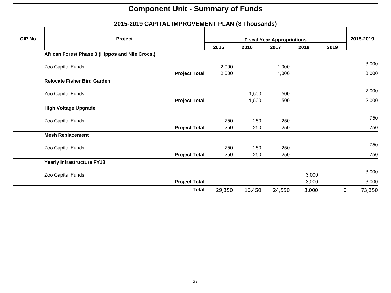| CIP No. | Project                                         |                      |        | 2015-2019 |                                           |       |      |                       |
|---------|-------------------------------------------------|----------------------|--------|-----------|-------------------------------------------|-------|------|-----------------------|
|         |                                                 |                      | 2015   | 2016      | <b>Fiscal Year Appropriations</b><br>2017 | 2018  | 2019 |                       |
|         | African Forest Phase 3 (Hippos and Nile Crocs.) |                      |        |           |                                           |       |      |                       |
|         | Zoo Capital Funds                               |                      | 2,000  |           | 1,000                                     |       |      | 3,000                 |
|         |                                                 | <b>Project Total</b> | 2,000  |           | 1,000                                     |       |      | 3,000                 |
|         | <b>Relocate Fisher Bird Garden</b>              |                      |        |           |                                           |       |      |                       |
|         | Zoo Capital Funds                               |                      |        | 1,500     | 500                                       |       |      | 2,000                 |
|         |                                                 | <b>Project Total</b> |        | 1,500     | 500                                       |       |      | 2,000                 |
|         | <b>High Voltage Upgrade</b>                     |                      |        |           |                                           |       |      |                       |
|         | Zoo Capital Funds                               |                      | 250    | 250       | 250                                       |       |      | 750                   |
|         |                                                 | <b>Project Total</b> | 250    | 250       | 250                                       |       |      | 750                   |
|         | <b>Mesh Replacement</b>                         |                      |        |           |                                           |       |      |                       |
|         | Zoo Capital Funds                               |                      | 250    | 250       | 250                                       |       |      | 750                   |
|         |                                                 | <b>Project Total</b> | 250    | 250       | 250                                       |       |      | 750                   |
|         | <b>Yearly Infrastructure FY18</b>               |                      |        |           |                                           |       |      |                       |
|         | Zoo Capital Funds                               |                      |        |           |                                           | 3,000 |      | 3,000                 |
|         |                                                 | <b>Project Total</b> |        |           |                                           | 3,000 |      | 3,000                 |
|         |                                                 | <b>Total</b>         | 29,350 | 16,450    | 24,550                                    | 3,000 |      | $\mathbf 0$<br>73,350 |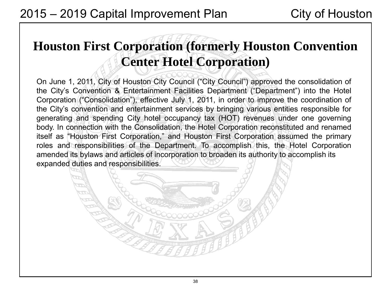# **Houston First Corporation (formerly Houston Convention Center Hotel Corporation)**

On June 1, 2011, City of Houston City Council ("City Council") approved the consolidation of the City's Convention & Entertainment Facilities Department ("Department") into the Hotel Corporation ("Consolidation"), effective July 1, 2011, in order to improve the coordination of the City's convention and entertainment services by bringing various entities responsible for generating and spending City hotel occupancy tax (HOT) revenues under one governing body. In connection with the Consolidation, the Hotel Corporation reconstituted and renamed itself as "Houston First Corporation," and Houston First Corporation assumed the primary roles and responsibilities of the Department. To accomplish this, the Hotel Corporation amended its bylaws and articles of incorporation to broaden its authority to accomplish its expanded duties and responsibilities.